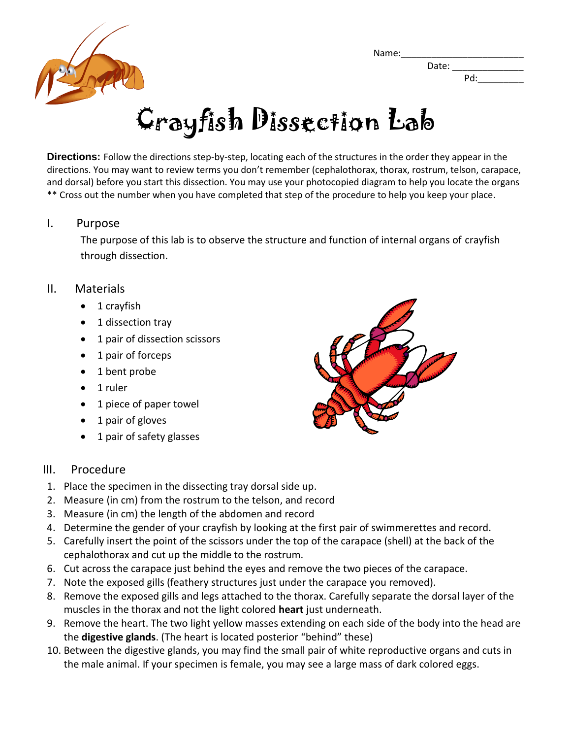Name: Date:



Pd:

# Crayfish Dissection Lab

**Directions:** Follow the directions step-by-step, locating each of the structures in the order they appear in the directions. You may want to review terms you don't remember (cephalothorax, thorax, rostrum, telson, carapace, and dorsal) before you start this dissection. You may use your photocopied diagram to help you locate the organs \*\* Cross out the number when you have completed that step of the procedure to help you keep your place.

### I. Purpose

The purpose of this lab is to observe the structure and function of internal organs of crayfish through dissection.

## II. Materials

- 1 crayfish
- 1 dissection tray
- 1 pair of dissection scissors
- 1 pair of forceps
- 1 bent probe
- 1 ruler
- 1 piece of paper towel
- 1 pair of gloves
- 1 pair of safety glasses



## III. Procedure

- 1. Place the specimen in the dissecting tray dorsal side up.
- 2. Measure (in cm) from the rostrum to the telson, and record
- 3. Measure (in cm) the length of the abdomen and record
- 4. Determine the gender of your crayfish by looking at the first pair of swimmerettes and record.
- 5. Carefully insert the point of the scissors under the top of the carapace (shell) at the back of the cephalothorax and cut up the middle to the rostrum.
- 6. Cut across the carapace just behind the eyes and remove the two pieces of the carapace.
- 7. Note the exposed gills (feathery structures just under the carapace you removed).
- 8. Remove the exposed gills and legs attached to the thorax. Carefully separate the dorsal layer of the muscles in the thorax and not the light colored **heart** just underneath.
- 9. Remove the heart. The two light yellow masses extending on each side of the body into the head are the **digestive glands**. (The heart is located posterior "behind" these)
- 10. Between the digestive glands, you may find the small pair of white reproductive organs and cuts in the male animal. If your specimen is female, you may see a large mass of dark colored eggs.